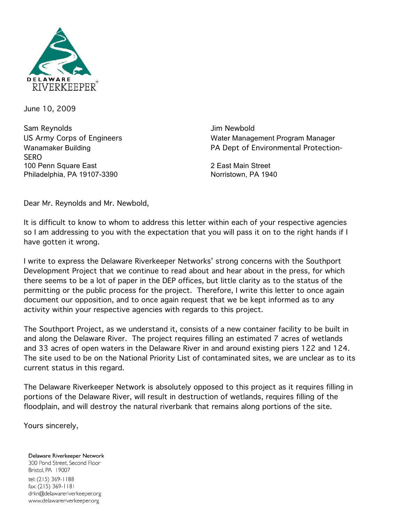

June 10, 2009

Sam Reynolds **Sam Reynolds Jim Newbold** SERO 100 Penn Square East 2 East Main Street Philadelphia, PA 19107-3390 Norristown, PA 1940

US Army Corps of Engineers Water Management Program Manager Wanamaker Building **PA Dept of Environmental Protection-**

Dear Mr. Reynolds and Mr. Newbold,

It is difficult to know to whom to address this letter within each of your respective agencies so I am addressing to you with the expectation that you will pass it on to the right hands if I have gotten it wrong.

I write to express the Delaware Riverkeeper Networks' strong concerns with the Southport Development Project that we continue to read about and hear about in the press, for which there seems to be a lot of paper in the DEP offices, but little clarity as to the status of the permitting or the public process for the project. Therefore, I write this letter to once again document our opposition, and to once again request that we be kept informed as to any activity within your respective agencies with regards to this project.

The Southport Project, as we understand it, consists of a new container facility to be built in and along the Delaware River. The project requires filling an estimated 7 acres of wetlands and 33 acres of open waters in the Delaware River in and around existing piers 122 and 124. The site used to be on the National Priority List of contaminated sites, we are unclear as to its current status in this regard.

The Delaware Riverkeeper Network is absolutely opposed to this project as it requires filling in portions of the Delaware River, will result in destruction of wetlands, requires filling of the floodplain, and will destroy the natural riverbank that remains along portions of the site.

Yours sincerely,

Delaware Riverkeeper Network 300 Pond Street, Second Floor Bristol, PA 19007 tel: (215) 369-1188 fax: (215) 369-1181 drkn@delawareriverkeeper.org www.delawareriverkeeper.org